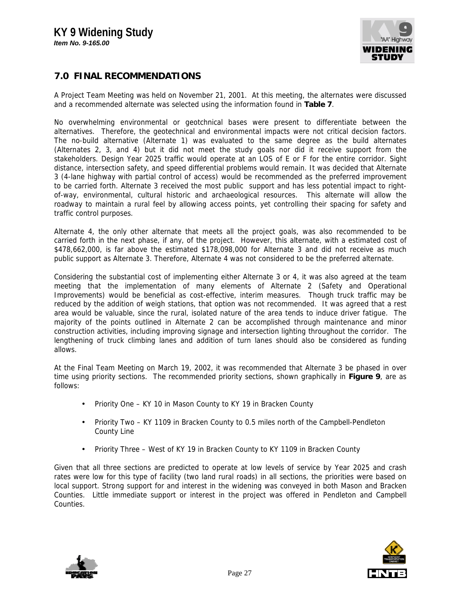

## **7.0 FINAL RECOMMENDATIONS**

A Project Team Meeting was held on November 21, 2001. At this meeting, the alternates were discussed and a recommended alternate was selected using the information found in **Table 7**.

No overwhelming environmental or geotchnical bases were present to differentiate between the alternatives. Therefore, the geotechnical and environmental impacts were not critical decision factors. The no-build alternative (Alternate 1) was evaluated to the same degree as the build alternates (Alternates 2, 3, and 4) but it did not meet the study goals nor did it receive support from the stakeholders. Design Year 2025 traffic would operate at an LOS of E or F for the entire corridor. Sight distance, intersection safety, and speed differential problems would remain. It was decided that Alternate 3 (4-lane highway with partial control of access) would be recommended as the preferred improvement to be carried forth. Alternate 3 received the most public support and has less potential impact to rightof-way, environmental, cultural historic and archaeological resources. This alternate will allow the roadway to maintain a rural feel by allowing access points, yet controlling their spacing for safety and traffic control purposes.

Alternate 4, the only other alternate that meets all the project goals, was also recommended to be carried forth in the next phase, if any, of the project. However, this alternate, with a estimated cost of \$478,662,000, is far above the estimated \$178,098,000 for Alternate 3 and did not receive as much public support as Alternate 3. Therefore, Alternate 4 was not considered to be the preferred alternate.

Considering the substantial cost of implementing either Alternate 3 or 4, it was also agreed at the team meeting that the implementation of many elements of Alternate 2 (Safety and Operational Improvements) would be beneficial as cost-effective, interim measures. Though truck traffic may be reduced by the addition of weigh stations, that option was not recommended. It was agreed that a rest area would be valuable, since the rural, isolated nature of the area tends to induce driver fatigue. The majority of the points outlined in Alternate 2 can be accomplished through maintenance and minor construction activities, including improving signage and intersection lighting throughout the corridor. The lengthening of truck climbing lanes and addition of turn lanes should also be considered as funding allows.

At the Final Team Meeting on March 19, 2002, it was recommended that Alternate 3 be phased in over time using priority sections. The recommended priority sections, shown graphically in **Figure 9**, are as follows:

- Priority One KY 10 in Mason County to KY 19 in Bracken County
- Priority Two KY 1109 in Bracken County to 0.5 miles north of the Campbell-Pendleton County Line
- Priority Three West of KY 19 in Bracken County to KY 1109 in Bracken County

Given that all three sections are predicted to operate at low levels of service by Year 2025 and crash rates were low for this type of facility (two land rural roads) in all sections, the priorities were based on local support. Strong support for and interest in the widening was conveyed in both Mason and Bracken Counties. Little immediate support or interest in the project was offered in Pendleton and Campbell Counties.